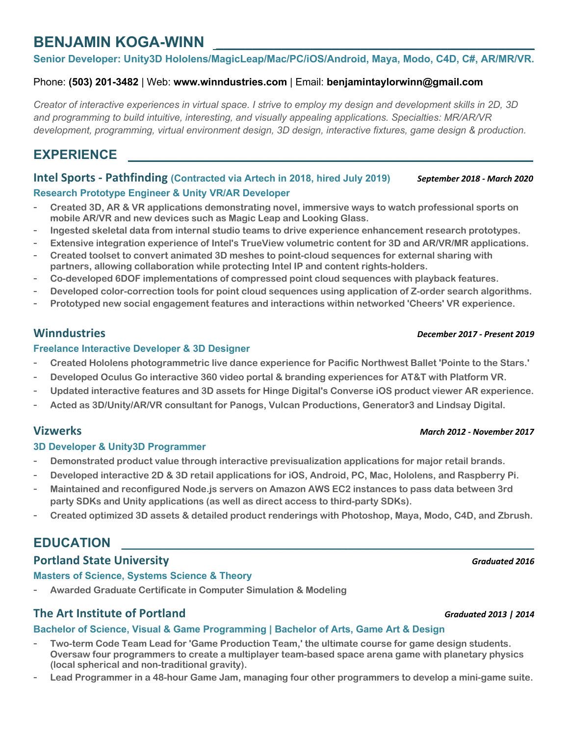# **BENJAMIN KOGA-WINN**

**Senior Developer: Unity3D Hololens/MagicLeap/Mac/PC/iOS/Android, Maya, Modo, C4D, C#, AR/MR/VR.**

### Phone: **(503) 201-3482** | Web: **www.winndustries.com** | Email: **benjamintaylorwinn@gmail.com**

*Creator of interactive experiences in virtual space. I strive to employ my design and development skills in 2D, 3D and programming to build intuitive, interesting, and visually appealing applications. Specialties: MR/AR/VR development, programming, virtual environment design, 3D design, interactive fixtures, game design & production.*

# EXPERIENCE

**Intel Sports - Pathfinding (Contracted via Artech in 2018, hired July 2019)** *September 2018 - March 2020* **Research Prototype Engineer & Unity VR/AR Developer**

- **Created 3D, AR & VR applications demonstrating novel, immersive ways to watch professional sports on mobile AR/VR and new devices such as Magic Leap and Looking Glass.**
- **Ingested skeletal data from internal studio teams to drive experience enhancement research prototypes.**
- **Extensive integration experience of Intel's TrueView volumetric content for 3D and AR/VR/MR applications.**
- **Created toolset to convert animated 3D meshes to point-cloud sequences for external sharing with partners, allowing collaboration while protecting Intel IP and content rights-holders.**
- **Co-developed 6DOF implementations of compressed point cloud sequences with playback features.**
- **Developed color-correction tools for point cloud sequences using application of Z-order search algorithms.**
- **Prototyped new social engagement features and interactions within networked 'Cheers' VR experience.**

### **Freelance Interactive Developer & 3D Designer**

- **Created Hololens photogrammetric live dance experience for Pacific Northwest Ballet 'Pointe to the Stars.'**
- **Developed Oculus Go interactive 360 video portal & branding experiences for AT&T with Platform VR.**
- **Updated interactive features and 3D assets for Hinge Digital's Converse iOS product viewer AR experience.**
- **Acted as 3D/Unity/AR/VR consultant for Panogs, Vulcan Productions, Generator3 and Lindsay Digital.**

### **Vizwerks** *March 2012 - November 2017*

### **3D Developer & Unity3D Programmer**

- **Demonstrated product value through interactive previsualization applications for major retail brands.**
- **Developed interactive 2D & 3D retail applications for iOS, Android, PC, Mac, Hololens, and Raspberry Pi.**
- **Maintained and reconfigured Node.js servers on Amazon AWS EC2 instances to pass data between 3rd party SDKs and Unity applications (as well as direct access to third-party SDKs).**
- **Created optimized 3D assets & detailed product renderings with Photoshop, Maya, Modo, C4D, and Zbrush.**

# EDUCATION

## **Portland State University** *Graduated 2016*

**Masters of Science, Systems Science & Theory**

- **Awarded Graduate Certificate in Computer Simulation & Modeling**

## **The Art Institute of Portland** *Graduated 2013 | 2014*

### **Bachelor of Science, Visual & Game Programming | Bachelor of Arts, Game Art & Design**

- **Two-term Code Team Lead for 'Game Production Team,' the ultimate course for game design students. Oversaw four programmers to create a multiplayer team-based space arena game with planetary physics (local spherical and non-traditional gravity).**
- **Lead Programmer in a 48-hour Game Jam, managing four other programmers to develop a mini-game suite.**

## **Winndustries** *December 2017 - Present 2019*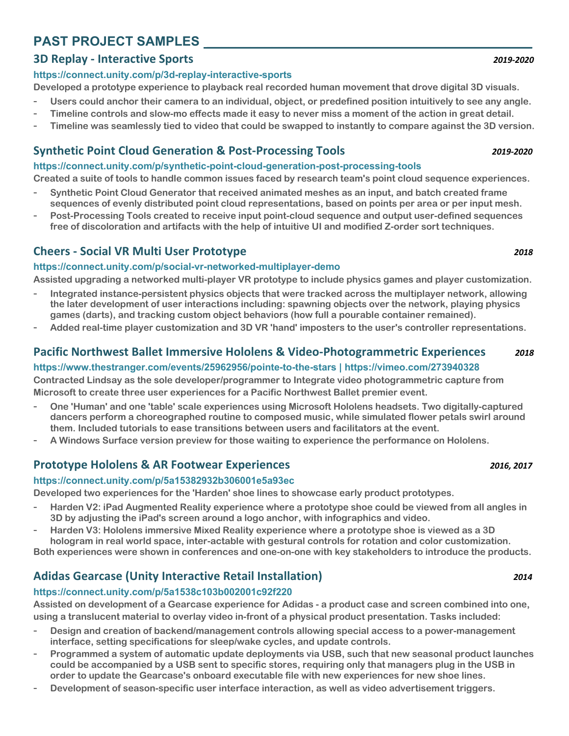# **PAST PROJECT SAMPLES \_\_\_\_\_\_\_\_\_\_\_\_\_\_\_\_\_\_\_\_\_\_\_\_\_\_\_\_\_\_\_\_\_\_\_\_\_\_\_\_\_\_\_\_\_**

# **3D Replay - Interactive Sports** *2019-2020*

### **https://connect.unity.com/p/3d-replay-interactive-sports**

**Developed a prototype experience to playback real recorded human movement that drove digital 3D visuals.**

- **Users could anchor their camera to an individual, object, or predefined position intuitively to see any angle.**
- **Timeline controls and slow-mo effects made it easy to never miss a moment of the action in great detail.**
- **Timeline was seamlessly tied to video that could be swapped to instantly to compare against the 3D version.**

# **Synthetic Point Cloud Generation & Post-Processing Tools** *2019-2020*

### **https://connect.unity.com/p/synthetic-point-cloud-generation-post-processing-tools**

**Created a suite of tools to handle common issues faced by research team's point cloud sequence experiences.**

- **Synthetic Point Cloud Generator that received animated meshes as an input, and batch created frame sequences of evenly distributed point cloud representations, based on points per area or per input mesh.**
- **Post-Processing Tools created to receive input point-cloud sequence and output user-defined sequences free of discoloration and artifacts with the help of intuitive UI and modified Z-order sort techniques.**

# **Cheers - Social VR Multi User Prototype** *2018*

### **https://connect.unity.com/p/social-vr-networked-multiplayer-demo**

**Assisted upgrading a networked multi-player VR prototype to include physics games and player customization.** 

- **Integrated instance-persistent physics objects that were tracked across the multiplayer network, allowing the later development of user interactions including: spawning objects over the network, playing physics games (darts), and tracking custom object behaviors (how full a pourable container remained).**
- **Added real-time player customization and 3D VR 'hand' imposters to the user's controller representations.**

# **Pacific Northwest Ballet Immersive Hololens & Video-Photogrammetric Experiences** *2018*

## **https://www.thestranger.com/events/25962956/pointe-to-the-stars | https://vimeo.com/273940328**

**Contracted Lindsay as the sole developer/programmer to Integrate video photogrammetric capture from Microsoft to create three user experiences for a Pacific Northwest Ballet premier event.** 

- **One 'Human' and one 'table' scale experiences using Microsoft Hololens headsets. Two digitally-captured dancers perform a choreographed routine to composed music, while simulated flower petals swirl around them. Included tutorials to ease transitions between users and facilitators at the event.**
- **A Windows Surface version preview for those waiting to experience the performance on Hololens.**

# **Prototype Hololens & AR Footwear Experiences** *2016, 2017*

### **https://connect.unity.com/p/5a15382932b306001e5a93ec**

**Developed two experiences for the 'Harden' shoe lines to showcase early product prototypes.**

- **Harden V2: iPad Augmented Reality experience where a prototype shoe could be viewed from all angles in 3D by adjusting the iPad's screen around a logo anchor, with infographics and video.**
- **Harden V3: Hololens immersive Mixed Reality experience where a prototype shoe is viewed as a 3D hologram in real world space, inter-actable with gestural controls for rotation and color customization.**
- **Both experiences were shown in conferences and one-on-one with key stakeholders to introduce the products.**

# **Adidas Gearcase (Unity Interactive Retail Installation)** *2014*

### **https://connect.unity.com/p/5a1538c103b002001c92f220**

**Assisted on development of a Gearcase experience for Adidas - a product case and screen combined into one, using a translucent material to overlay video in-front of a physical product presentation. Tasks included:**

- **Design and creation of backend/management controls allowing special access to a power-management interface, setting specifications for sleep/wake cycles, and update controls.**
- **Programmed a system of automatic update deployments via USB, such that new seasonal product launches could be accompanied by a USB sent to specific stores, requiring only that managers plug in the USB in order to update the Gearcase's onboard executable file with new experiences for new shoe lines.**
- **Development of season-specific user interface interaction, as well as video advertisement triggers.**